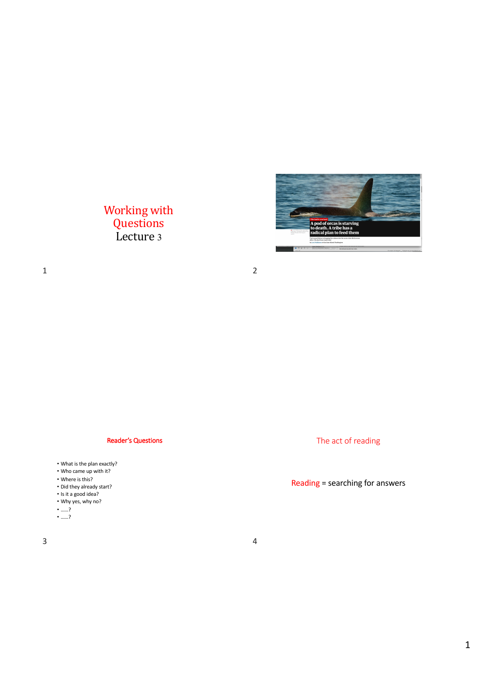

Working with **Questions** Lecture 3

 $1$  2

Reader's Questions

- What is the plan exactly?
- Who came up with it?
- Where is this?
- Did they already start?
- Is it a good idea?
- Why yes, why no?
- ……?
- ……?

The act of reading

Reading = searching for answers

4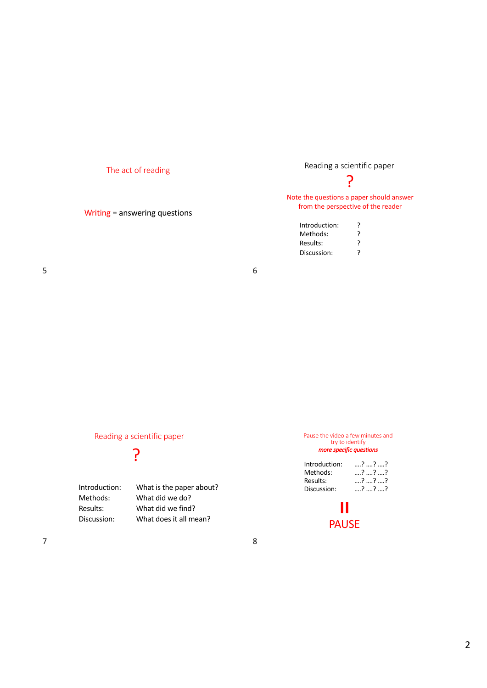# The act of reading

Writing = answering questions

Reading a scientific paper

?

Note the questions a paper should answer from the perspective of the reader

| Introduction: |   |
|---------------|---|
| Methods:      | 2 |
| Results:      | 2 |
| Discussion:   | 2 |
|               |   |

6

8

Reading a scientific paper ?

| Introduction: | What is the paper about? |
|---------------|--------------------------|
| Methods:      | What did we do?          |
| Results:      | What did we find?        |
| Discussion:   | What does it all mean?   |

### Pause the video a few minutes and try to identify *more specific questions*

| Introduction: | ? ? ? |
|---------------|-------|
| Methods:      | ??    |
| Results:      | ? ? ? |
| Discussion:   | ??    |

**II** PAUSE

5